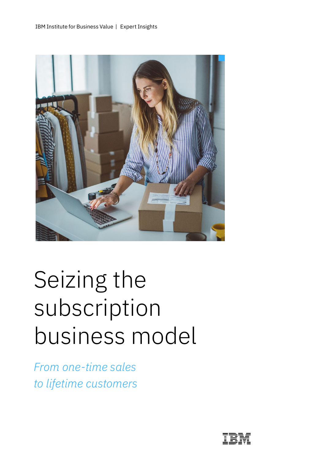

# Seizing the subscription business model

*From one-time sales to lifetime customers*

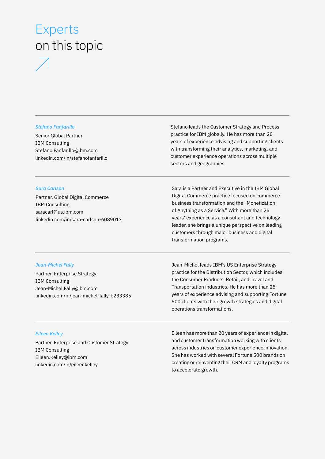# Experts on this topic

#### *Stefano Fanfarillo*

Senior Global Partner IBM Consulting [Stefano.Fanfarillo@ibm.com](mailto:Stefano.Fanfarillo@ibm.com) [linkedin.com/in/stefanofanfarillo](http://www.linkedin.com/in/stefanofanfarillo) Stefano leads the Customer Strategy and Process practice for IBM globally. He has more than 20 years of experience advising and supporting clients with transforming their analytics, marketing, and customer experience operations across multiple sectors and geographies.

#### *Sara Carlson*

Partner, Global Digital Commerce IBM Consulting [saracarl@us.ibm.com](mailto:saracarl@us.ibm.com) [linkedin.com/in/sara-carlson-6089013](http://linkedin.com/in/sara-carlson-6089013)

Sara is a Partner and Executive in the IBM Global Digital Commerce practice focused on commerce business transformation and the "Monetization of Anything as a Service." With more than 25 years' experience as a consultant and technology leader, she brings a unique perspective on leading customers through major business and digital transformation programs.

#### *Jean-Michel Fally*

Partner, Enterprise Strategy IBM Consulting [Jean-Michel.Fally@ibm.com](mailto:Jean-Michel.Fally@ibm.com) [linkedin.com/in/jean-michel-fally-b233385](http://linkedin.com/in/jean-michel-fally-b233385) Jean-Michel leads IBM's US Enterprise Strategy practice for the Distribution Sector, which includes the Consumer Products, Retail, and Travel and Transportation industries. He has more than 25 years of experience advising and supporting Fortune 500 clients with their growth strategies and digital operations transformations.

#### *Eileen Kelley*

Partner, Enterprise and Customer Strategy IBM Consulting [Eileen.Kelley@ibm.com](mailto:Eileen.Kelley@ibm.com) [linkedin.com/in/eileenkelley](https://www.linkedin.com/in/eileenkelley/)

Eileen has more than 20 years of experience in digital and customer transformation working with clients across industries on customer experience innovation. She has worked with several Fortune 500 brands on creating or reinventing their CRM and loyalty programs to accelerate growth.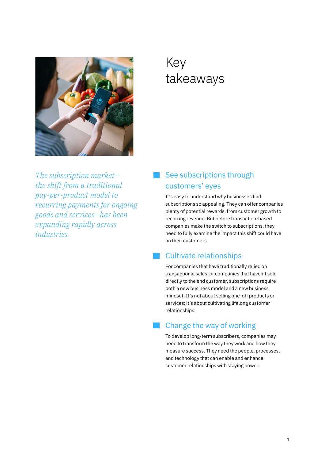

# Key takeaways

*The subscription market the shift from a traditional pay-per-product model to recurring payments for ongoing goods and services—has been expanding rapidly across industries.*

### See subscriptions through customers' eyes

It's easy to understand why businesses find subscriptions so appealing. They can offer companies plenty of potential rewards, from customer growth to recurring revenue. But before transaction-based companies make the switch to subscriptions, they need to fully examine the impact this shift could have on their customers.

### Cultivate relationships

For companies that have traditionally relied on transactional sales, or companies that haven't sold directly to the end customer, subscriptions require both a new business model and a new business mindset. It's not about selling one-off products or services; it's about cultivating lifelong customer relationships.

### Change the way of working

To develop long-term subscribers, companies may need to transform the way they work and how they measure success. They need the people, processes, and technology that can enable and enhance customer relationships with staying power.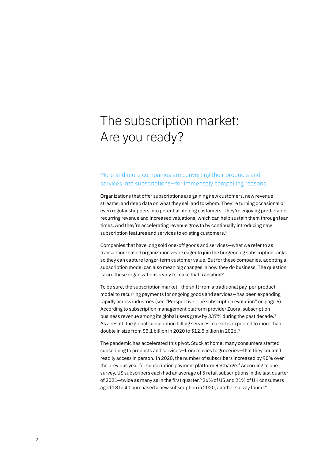# The subscription market: Are you ready?

#### More and more companies are converting their products and services into subscriptions—for immensely compelling reasons.

Organizations that offer subscriptions are gaining new customers, new revenue streams, and deep data on what they sell and to whom. They're turning occasional or even regular shoppers into potential lifelong customers. They're enjoying predictable recurring revenue and increased valuations, which can help sustain them through lean times. And they're accelerating revenue growth by continually introducing new subscription features and services to existing customers.<sup>1</sup>

Companies that have long sold one-off goods and services—what we refer to as transaction-based organizations—are eager to join the burgeoning subscription ranks so they can capture longer-term customer value. But for these companies, adopting a subscription model can also mean big changes in how they do business. The question is: are these organizations ready to make that transition?

To be sure, the subscription market—the shift from a traditional pay-per-product model to recurring payments for ongoing goods and services—has been expanding rapidly across industries (see "Perspective: The subscription evolution" on page 5). According to subscription management platform provider Zuora, subscription business revenue among its global users grew by 337% during the past decade.<sup>2</sup> As a result, the global subscription billing services market is expected to more than double in size from \$5.1 billion in 2020 to \$12.5 billion in 2026.3

The pandemic has accelerated this pivot. Stuck at home, many consumers started subscribing to products and services—from movies to groceries—that they couldn't readily access in person. In 2020, the number of subscribers increased by 90% over the previous year for subscription payment platform ReCharge.<sup>4</sup> According to one survey, US subscribers each had an average of 5 retail subscriptions in the last quarter of 2021—twice as many as in the first quarter.5 26% of US and 21% of UK consumers aged 18 to 40 purchased a new subscription in 2020, another survey found.<sup>6</sup>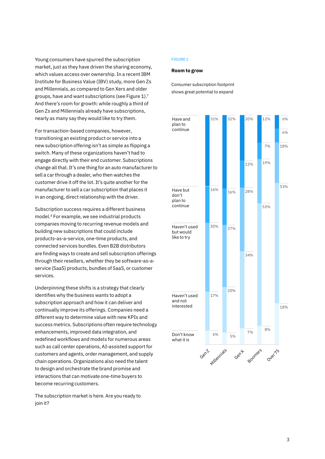Young consumers have spurred the subscription market, just as they have driven the sharing economy, which values access over ownership. In a recent IBM Institute for Business Value (IBV) study, more Gen Zs and Millennials, as compared to Gen Xers and older groups, have and want subscriptions (see Figure 1).7 And there's room for growth: while roughly a third of Gen Zs and Millennials already have subscriptions, nearly as many say they would like to try them.

For transaction-based companies, however, transitioning an existing product or service into a new subscription offering isn't as simple as flipping a switch. Many of these organizations haven't had to engage directly with their end customer. Subscriptions change all that. It's one thing for an auto manufacturer to sell a car through a dealer, who then watches the customer drive it off the lot. It's quite another for the manufacturer to sell a car subscription that places it in an ongoing, direct relationship with the driver.

Subscription success requires a different business model.8 For example, we see industrial products companies moving to recurring revenue models and building new subscriptions that could include products-as-a-service, one-time products, and connected services bundles. Even B2B distributors are finding ways to create and sell subscription offerings through their resellers, whether they be software-as-aservice (SaaS) products, bundles of SaaS, or customer services.

Underpinning these shifts is a strategy that clearly identifies why the business wants to adopt a subscription approach and how it can deliver and continually improve its offerings. Companies need a different way to determine value with new KPIs and success metrics. Subscriptions often require technology enhancements, improved data integration, and redefined workflows and models for numerous areas such as call center operations, AI-assisted support for customers and agents, order management, and supply chain operations. Organizations also need the talent to design and orchestrate the brand promise and interactions that can motivate one-time buyers to become recurring customers.

The subscription market is here. Are you ready to join it?

#### FIGURE 1

#### **Room to grow**

Consumer subscription footprint shows great potential to expand

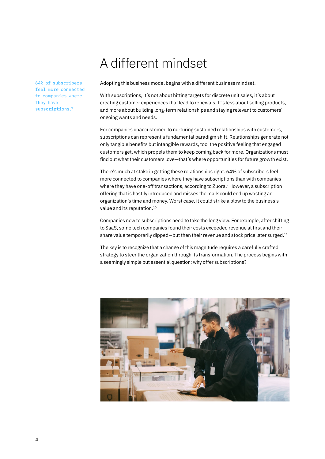# A different mindset

64% of subscribers feel more connected to companies where they have subscriptions.9

Adopting this business model begins with a different business mindset.

With subscriptions, it's not about hitting targets for discrete unit sales, it's about creating customer experiences that lead to renewals. It's less about selling products, and more about building long-term relationships and staying relevant to customers' ongoing wants and needs.

For companies unaccustomed to nurturing sustained relationships with customers, subscriptions can represent a fundamental paradigm shift. Relationships generate not only tangible benefits but intangible rewards, too: the positive feeling that engaged customers get, which propels them to keep coming back for more. Organizations must find out what their customers love—that's where opportunities for future growth exist.

There's much at stake in getting these relationships right. 64% of subscribers feel more connected to companies where they have subscriptions than with companies where they have one-off transactions, according to Zuora.<sup>9</sup> However, a subscription offering that is hastily introduced and misses the mark could end up wasting an organization's time and money. Worst case, it could strike a blow to the business's value and its reputation.10

Companies new to subscriptions need to take the long view. For example, after shifting to SaaS, some tech companies found their costs exceeded revenue at first and their share value temporarily dipped—but then their revenue and stock price later surged.<sup>11</sup>

The key is to recognize that a change of this magnitude requires a carefully crafted strategy to steer the organization through its transformation. The process begins with a seemingly simple but essential question: why offer subscriptions?

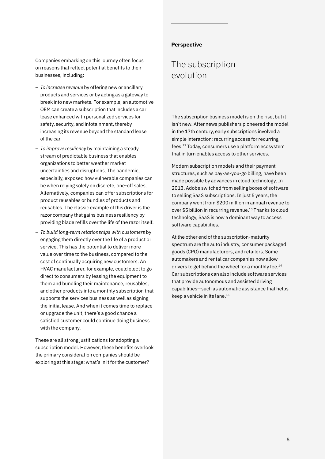Companies embarking on this journey often focus on reasons that reflect potential benefits to their businesses, including:

- *To increase revenue* by offering new or ancillary products and services or by acting as a gateway to break into new markets. For example, an automotive OEM can create a subscription that includes a car lease enhanced with personalized services for safety, security, and infotainment, thereby increasing its revenue beyond the standard lease of the car.
- *To improve resiliency* by maintaining a steady stream of predictable business that enables organizations to better weather market uncertainties and disruptions. The pandemic, especially, exposed how vulnerable companies can be when relying solely on discrete, one-off sales. Alternatively, companies can offer subscriptions for product reusables or bundles of products and reusables. The classic example of this driver is the razor company that gains business resiliency by providing blade refills over the life of the razor itself.
- *To build long-term relationships with customers* by engaging them directly over the life of a product or service. This has the potential to deliver more value over time to the business, compared to the cost of continually acquiring new customers. An HVAC manufacturer, for example, could elect to go direct to consumers by leasing the equipment to them and bundling their maintenance, reusables, and other products into a monthly subscription that supports the services business as well as signing the initial lease. And when it comes time to replace or upgrade the unit, there's a good chance a satisfied customer could continue doing business with the company.

These are all strong justifications for adopting a subscription model. However, these benefits overlook the primary consideration companies should be exploring at this stage: what's in it for the customer?

#### **Perspective**

### The subscription evolution

The subscription business model is on the rise, but it isn't new. After news publishers pioneered the model in the 17th century, early subscriptions involved a simple interaction: recurring access for recurring fees.12 Today, consumers use a platform ecosystem that in turn enables access to other services.

Modern subscription models and their payment structures, such as pay-as-you-go billing, have been made possible by advances in cloud technology. In 2013, Adobe switched from selling boxes of software to selling SaaS subscriptions. In just 5 years, the company went from \$200 million in annual revenue to over \$5 billion in recurring revenue.<sup>13</sup> Thanks to cloud technology, SaaS is now a dominant way to access software capabilities.

At the other end of the subscription-maturity spectrum are the auto industry, consumer packaged goods (CPG) manufacturers, and retailers. Some automakers and rental car companies now allow drivers to get behind the wheel for a monthly fee.<sup>14</sup> Car subscriptions can also include software services that provide autonomous and assisted driving capabilities—such as automatic assistance that helps keep a vehicle in its lane.15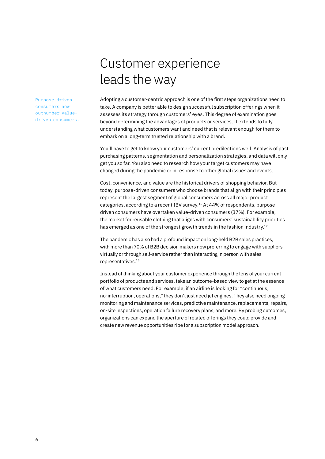Purpose-driven consumers now outnumber valuedriven consumers.

# Customer experience leads the way

Adopting a customer-centric approach is one of the first steps organizations need to take. A company is better able to design successful subscription offerings when it assesses its strategy through customers' eyes. This degree of examination goes beyond determining the advantages of products or services. It extends to fully understanding what customers want and need that is relevant enough for them to embark on a long-term trusted relationship with a brand.

You'll have to get to know your customers' current predilections well. Analysis of past purchasing patterns, segmentation and personalization strategies, and data will only get you so far. You also need to research how your target customers may have changed during the pandemic or in response to other global issues and events.

Cost, convenience, and value are the historical drivers of shopping behavior. But today, purpose-driven consumers who choose brands that align with their principles represent the largest segment of global consumers across all major product categories, according to a recent IBV survey.16 At 44% of respondents, purposedriven consumers have overtaken value-driven consumers (37%). For example, the market for reusable clothing that aligns with consumers' sustainability priorities has emerged as one of the strongest growth trends in the fashion industry.<sup>17</sup>

The pandemic has also had a profound impact on long-held B2B sales practices, with more than 70% of B2B decision makers now preferring to engage with suppliers virtually or through self-service rather than interacting in person with sales representatives.18

Instead of thinking about your customer experience through the lens of your current portfolio of products and services, take an outcome-based view to get at the essence of what customers need. For example, if an airline is looking for "continuous, no-interruption, operations," they don't just need jet engines. They also need ongoing monitoring and maintenance services, predictive maintenance, replacements, repairs, on-site inspections, operation failure recovery plans, and more. By probing outcomes, organizations can expand the aperture of related offerings they could provide and create new revenue opportunities ripe for a subscription model approach.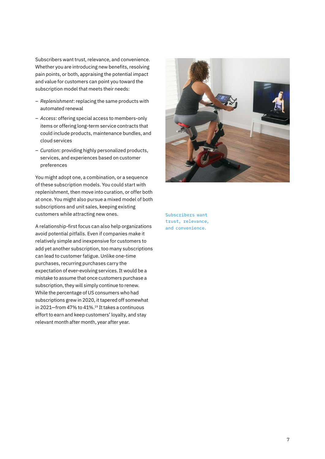Subscribers want trust, relevance, and convenience. Whether you are introducing new benefits, resolving pain points, or both, appraising the potential impact and value for customers can point you toward the subscription model that meets their needs:

- *Replenishment*: replacing the same products with automated renewal
- *Access*: offering special access to members-only items or offering long-term service contracts that could include products, maintenance bundles, and cloud services
- *Curation*: providing highly personalized products, services, and experiences based on customer preferences

You might adopt one, a combination, or a sequence of these subscription models. You could start with replenishment, then move into curation, or offer both at once. You might also pursue a mixed model of both subscriptions and unit sales, keeping existing customers while attracting new ones.

A relationship-first focus can also help organizations avoid potential pitfalls. Even if companies make it relatively simple and inexpensive for customers to add yet another subscription, too many subscriptions can lead to customer fatigue. Unlike one-time purchases, recurring purchases carry the expectation of ever-evolving services. It would be a mistake to assume that once customers purchase a subscription, they will simply continue to renew. While the percentage of US consumers who had subscriptions grew in 2020, it tapered off somewhat in 2021–from 47% to 41%.<sup>19</sup> It takes a continuous effort to earn and keep customers' loyalty, and stay relevant month after month, year after year.



Subscribers want trust, relevance, and convenience.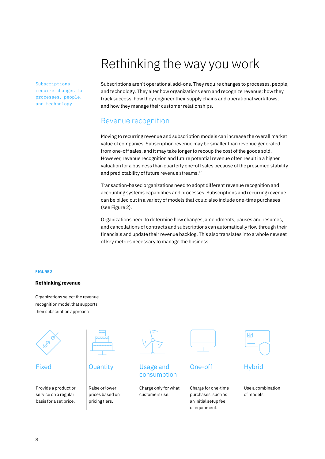# Rethinking the way you work

Subscriptions require changes to processes, people, and technology.

Subscriptions aren't operational add-ons. They require changes to processes, people, and technology. They alter how organizations earn and recognize revenue; how they track success; how they engineer their supply chains and operational workflows; and how they manage their customer relationships.

### Revenue recognition

Moving to recurring revenue and subscription models can increase the overall market value of companies. Subscription revenue may be smaller than revenue generated from one-off sales, and it may take longer to recoup the cost of the goods sold. However, revenue recognition and future potential revenue often result in a higher valuation for a business than quarterly one-off sales because of the presumed stability and predictability of future revenue streams.<sup>20</sup>

Transaction-based organizations need to adopt different revenue recognition and accounting systems capabilities and processes. Subscriptions and recurring revenue can be billed out in a variety of models that could also include one-time purchases (see Figure 2).

Organizations need to determine how changes, amendments, pauses and resumes, and cancellations of contracts and subscriptions can automatically flow through their financials and update their revenue backlog. This also translates into a whole new set of key metrics necessary to manage the business.

#### FIGURE 2

#### **Rethinking revenue**

Organizations select the revenue recognition model that supports their subscription approach

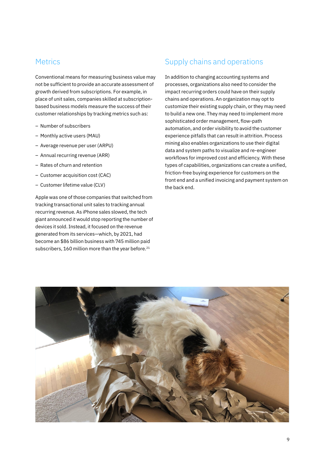#### **Metrics**

Conventional means for measuring business value may not be sufficient to provide an accurate assessment of growth derived from subscriptions. For example, in place of unit sales, companies skilled at subscriptionbased business models measure the success of their customer relationships by tracking metrics such as:

- Number of subscribers
- Monthly active users (MAU)
- Average revenue per user (ARPU)
- Annual recurring revenue (ARR)
- Rates of churn and retention
- Customer acquisition cost (CAC)
- Customer lifetime value (CLV)

Apple was one of those companies that switched from tracking transactional unit sales to tracking annual recurring revenue. As iPhone sales slowed, the tech giant announced it would stop reporting the number of devices it sold. Instead, it focused on the revenue generated from its services—which, by 2021, had become an \$86 billion business with 745 million paid subscribers, 160 million more than the year before.<sup>21</sup>

### Supply chains and operations

In addition to changing accounting systems and processes, organizations also need to consider the impact recurring orders could have on their supply chains and operations. An organization may opt to customize their existing supply chain, or they may need to build a new one. They may need to implement more sophisticated order management, flow-path automation, and order visibility to avoid the customer experience pitfalls that can result in attrition. Process mining also enables organizations to use their digital data and system paths to visualize and re-engineer workflows for improved cost and efficiency. With these types of capabilities, organizations can create a unified, friction-free buying experience for customers on the front end and a unified invoicing and payment system on the back end.

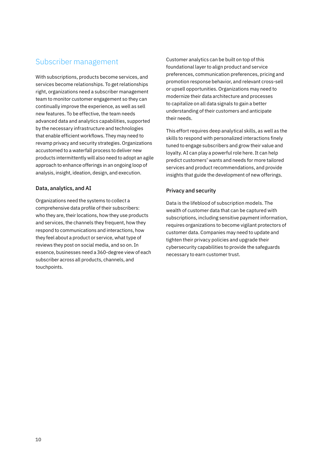### Subscriber management

With subscriptions, products become services, and services become relationships. To get relationships right, organizations need a subscriber management team to monitor customer engagement so they can continually improve the experience, as well as sell new features. To be effective, the team needs advanced data and analytics capabilities, supported by the necessary infrastructure and technologies that enable efficient workflows. They may need to revamp privacy and security strategies. Organizations accustomed to a waterfall process to deliver new products intermittently will also need to adopt an agile approach to enhance offerings in an ongoing loop of analysis, insight, ideation, design, and execution.

#### Data, analytics, and AI

Organizations need the systems to collect a comprehensive data profile of their subscribers: who they are, their locations, how they use products and services, the channels they frequent, how they respond to communications and interactions, how they feel about a product or service, what type of reviews they post on social media, and so on. In essence, businesses need a 360-degree view of each subscriber across all products, channels, and touchpoints.

Customer analytics can be built on top of this foundational layer to align product and service preferences, communication preferences, pricing and promotion response behavior, and relevant cross-sell or upsell opportunities. Organizations may need to modernize their data architecture and processes to capitalize on all data signals to gain a better understanding of their customers and anticipate their needs.

This effort requires deep analytical skills, as well as the skills to respond with personalized interactions finely tuned to engage subscribers and grow their value and loyalty. AI can play a powerful role here. It can help predict customers' wants and needs for more tailored services and product recommendations, and provide insights that guide the development of new offerings.

#### Privacy and security

Data is the lifeblood of subscription models. The wealth of customer data that can be captured with subscriptions, including sensitive payment information, requires organizations to become vigilant protectors of customer data. Companies may need to update and tighten their privacy policies and upgrade their cybersecurity capabilities to provide the safeguards necessary to earn customer trust.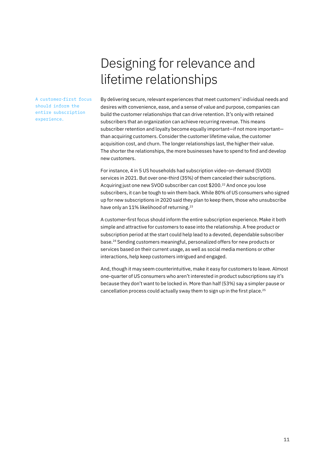# Designing for relevance and lifetime relationships

A customer-first focus should inform the entire subscription experience.

By delivering secure, relevant experiences that meet customers' individual needs and desires with convenience, ease, and a sense of value and purpose, companies can build the customer relationships that can drive retention. It's only with retained subscribers that an organization can achieve recurring revenue. This means subscriber retention and loyalty become equally important—if not more important than acquiring customers. Consider the customer lifetime value, the customer acquisition cost, and churn. The longer relationships last, the higher their value. The shorter the relationships, the more businesses have to spend to find and develop new customers.

For instance, 4 in 5 US households had subscription video-on-demand (SVOD) services in 2021. But over one-third (35%) of them canceled their subscriptions. Acquiring just one new SVOD subscriber can cost \$200.<sup>22</sup> And once you lose subscribers, it can be tough to win them back. While 80% of US consumers who signed up for new subscriptions in 2020 said they plan to keep them, those who unsubscribe have only an 11% likelihood of returning.<sup>23</sup>

A customer-first focus should inform the entire subscription experience. Make it both simple and attractive for customers to ease into the relationship. A free product or subscription period at the start could help lead to a devoted, dependable subscriber base.24 Sending customers meaningful, personalized offers for new products or services based on their current usage, as well as social media mentions or other interactions, help keep customers intrigued and engaged.

And, though it may seem counterintuitive, make it easy for customers to leave. Almost one-quarter of US consumers who aren't interested in product subscriptions say it's because they don't want to be locked in. More than half (53%) say a simpler pause or cancellation process could actually sway them to sign up in the first place.25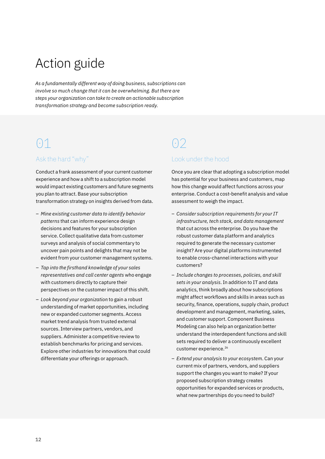# Action guide

*As a fundamentally different way of doing business, subscriptions can involve so much change that it can be overwhelming. But there are steps your organization can take to create an actionable subscription transformation strategy and become subscription ready.*

# $\odot$ 1

### Ask the hard "why"

Conduct a frank assessment of your current customer experience and how a shift to a subscription model would impact existing customers and future segments you plan to attract. Base your subscription transformation strategy on insights derived from data.

- *Mine existing customer data to identify behavior patterns* that can inform experience design decisions and features for your subscription service. Collect qualitative data from customer surveys and analysis of social commentary to uncover pain points and delights that may not be evident from your customer management systems.
- *Tap into the firsthand knowledge of your sales representatives and call center agents* who engage with customers directly to capture their perspectives on the customer impact of this shift.
- *Look beyond your organization* to gain a robust understanding of market opportunities, including new or expanded customer segments. Access market trend analysis from trusted external sources. Interview partners, vendors, and suppliers. Administer a competitive review to establish benchmarks for pricing and services. Explore other industries for innovations that could differentiate your offerings or approach.

# $\bigcap$

#### Look under the hood

Once you are clear that adopting a subscription model has potential for your business and customers, map how this change would affect functions across your enterprise. Conduct a cost-benefit analysis and value assessment to weigh the impact.

- *Consider subscription requirements for your IT infrastructure, tech stack, and data management* that cut across the enterprise. Do you have the robust customer data platform and analytics required to generate the necessary customer insight? Are your digital platforms instrumented to enable cross-channel interactions with your customers?
- *Include changes to processes, policies, and skill sets in your analysis*. In addition to IT and data analytics, think broadly about how subscriptions might affect workflows and skills in areas such as security, finance, operations, supply chain, product development and management, marketing, sales, and customer support. Component Business Modeling can also help an organization better understand the interdependent functions and skill sets required to deliver a continuously excellent customer experience.<sup>26</sup>
- *Extend your analysis to your ecosystem*. Can your current mix of partners, vendors, and suppliers support the changes you want to make? If your proposed subscription strategy creates opportunities for expanded services or products, what new partnerships do you need to build?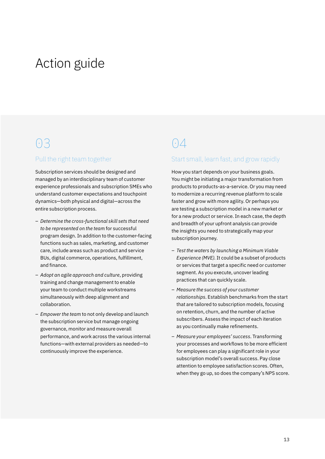# Action guide

## 03

#### Pull the right team together

Subscription services should be designed and managed by an interdisciplinary team of customer experience professionals and subscription SMEs who understand customer expectations and touchpoint dynamics—both physical and digital—across the entire subscription process.

- *Determine the cross-functional skill sets that need to be represented on the team* for successful program design. In addition to the customer-facing functions such as sales, marketing, and customer care, include areas such as product and service BUs, digital commerce, operations, fulfillment, and finance.
- *Adopt an agile approach and culture*, providing training and change management to enable your team to conduct multiple workstreams simultaneously with deep alignment and collaboration.
- *Empower the team* to not only develop and launch the subscription service but manage ongoing governance, monitor and measure overall performance, and work across the various internal functions—with external providers as needed—to continuously improve the experience.

# $\bigcap_{i=1}^n$

#### Start small, learn fast, and grow rapidly

How you start depends on your business goals. You might be initiating a major transformation from products to products-as-a-service. Or you may need to modernize a recurring revenue platform to scale faster and grow with more agility. Or perhaps you are testing a subscription model in a new market or for a new product or service. In each case, the depth and breadth of your upfront analysis can provide the insights you need to strategically map your subscription journey.

- *Test the waters by launching a Minimum Viable Experience (MVE).* It could be a subset of products or services that target a specific need or customer segment. As you execute, uncover leading practices that can quickly scale.
- *Measure the success of your customer relationships*. Establish benchmarks from the start that are tailored to subscription models, focusing on retention, churn, and the number of active subscribers. Assess the impact of each iteration as you continually make refinements.
- *Measure your employees' success*. Transforming your processes and workflows to be more efficient for employees can play a significant role in your subscription model's overall success. Pay close attention to employee satisfaction scores. Often, when they go up, so does the company's NPS score.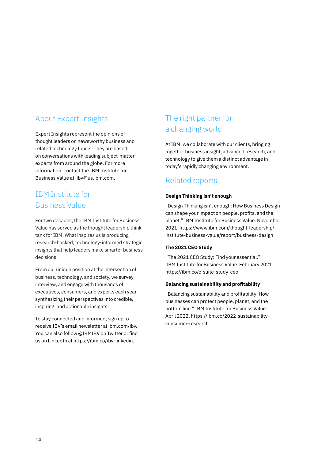### About Expert Insights

Expert Insights represent the opinions of thought leaders on newsworthy business and related technology topics. They are based on conversations with leading subject-matter experts from around the globe. For more information, contact the IBM Institute for Business Value at iibv@us.ibm.com.

### IBM Institute for Business Value

For two decades, the IBM Institute for Business Value has served as the thought leadership think tank for IBM. What inspires us is producing research-backed, technology-informed strategic insights that help leaders make smarter business decisions.

From our unique position at the intersection of business, technology, and society, we survey, interview, and engage with thousands of executives, consumers, and experts each year, synthesizing their perspectives into credible, inspiring, and actionable insights.

To stay connected and informed, sign up to receive IBV's email newsletter at [ibm.com/ibv](http://ibm.com/ibv). You can also follow [@IBMIBV on Twitter](https://twitter.com/IBMIBV) or find us on LinkedIn at<https://ibm.co/ibv-linkedin>.

### The right partner for a changing world

At IBM, we collaborate with our clients, bringing together business insight, advanced research, and technology to give them a distinct advantage in today's rapidly changing environment.

### Related reports

#### **Design Thinking isn't enough**

"Design Thinking isn't enough: How Business Design can shape your impact on people, profits, and the planet." IBM Institute for Business Value. November 2021. [https://www.ibm.com/thought-leadership/](https://www.ibm.com/thought-leadership/institute-business-value/report/business-design) [institute-business-value/report/business-design](https://www.ibm.com/thought-leadership/institute-business-value/report/business-design)

#### **The 2021 CEO Study**

"The 2021 CEO Study: Find your essential." IBM Institute for Business Value. February 2021. <https://ibm.co/c-suite-study-ceo>

#### **Balancing sustainability and profitability**

"Balancing sustainability and profitability: How businesses can protect people, planet, and the bottom line." IBM Institute for Business Value. April 2022. [https://ibm.co/2022-sustainability](https://ibm.co/2022-sustainability-consumer-research)[consumer-research](https://ibm.co/2022-sustainability-consumer-research)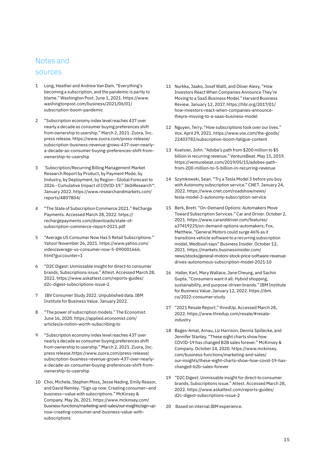### Notes and

#### sources

- 1 Long, Heather and Andrew Van Dam. "Everything's becoming a subscription, and the pandemic is partly to blame." Washington Post. June 1, 2021. https://www. washingtonpost.com/business/2021/06/01/ subscription-boom-pandemic
- 2 "Subscription economy index level reaches 437 over nearly a decade as consumer buying preferences shift from ownership to usership." March 2, 2021. Zuora, Inc. press release. [https://www.zuora.com/press-release/](https://www.zuora.com/press-release/subscription-business-revenue-grows-437-over-nearly-a-decade-as-consumer-buying-preferences-shift-from-ownership-to-usership) [subscription-business-revenue-grows-437-over-nearly](https://www.zuora.com/press-release/subscription-business-revenue-grows-437-over-nearly-a-decade-as-consumer-buying-preferences-shift-from-ownership-to-usership)[a-decade-as-consumer-buying-preferences-shift-from](https://www.zuora.com/press-release/subscription-business-revenue-grows-437-over-nearly-a-decade-as-consumer-buying-preferences-shift-from-ownership-to-usership)[ownership-to-usership](https://www.zuora.com/press-release/subscription-business-revenue-grows-437-over-nearly-a-decade-as-consumer-buying-preferences-shift-from-ownership-to-usership)
- 3 " Subscription/Recurring Billing Management Market Research Report by Product, by Payment Mode, by Industry, by Deployment, by Region - Global Forecast to 2026 - Cumulative Impact of COVID-19." 360iResearch™. January 2022. [https://www.researchandmarkets.com/](https://www.researchandmarkets.com/reports/4807804/) [reports/4807804/](https://www.researchandmarkets.com/reports/4807804/)
- 4 "The State of Subscription Commerce 2021." ReCharge Payments. Accessed March 28, 2022. https:// rechargepayments.com/downloads/state-ofsubscription-commerce-report-2021.pdf
- 5 "Average US Consumer Now Has 5 Retail Subscriptions." Yahoo! November 26, 2021. https://www.yahoo.com/ video/average-us-consumer-now-5-090001666. html?guccounter=1
- 6 "D2C Digest: Unmissable insight for direct-to consumer brands, Subscriptions issue." Attest. Accessed March 28, 2022. https://www.askattest.com/reports-guides/ d2c-digest-subscriptions-issue-2
- 7 IBV Consumer Study 2022. Unpublished data. IBM Institute for Business Value. January 2022.
- 8 "The power of subscription models." The Economist. June 16, 2020. https://applied.economist.com/ articles/a-notion-worth-subscribing-to
- 9 "Subscription economy index level reaches 437 over nearly a decade as consumer buying preferences shift from ownership to usership." March 2, 2021. Zuora, Inc. press release.https://www.zuora.com/press-release/ subscription-business-revenue-grows-437-over-nearlya-decade-as-consumer-buying-preferences-shift-fromownership-to-usership
- 10 Choi, Michele, Stephen Moss, Jesse Nading, Emily Reasor, and David Remley. "Sign up now: Creating consumer—and business—value with subscriptions." McKinsey & Company. May 26, 2021. https://www.mckinsey.com/ business-functions/marketing-and-sales/our-insights/sign-upnow-creating-consumer-and-business-value-withsubscriptions
- 11 Nurkka, Jaako, Josef Waltl, and Oliver Alexy. "How Investors React When Companies Announce They're Moving to a SaaS Business Model." Harvard Business Review. January 12, 2017. https://hbr.org/2017/01/ how-investors-react-when-companies-announcetheyre-moving-to-a-saas-business-model
- 12 Nguyen, Terry. "How subscriptions took over our lives." Vox. April 29, 2021. https://www.vox.com/the-goods/ 22403782/subscription-boom-fatigue-content
- 13 Koetsier, John. "Adobe's path from \$200 million to \$5 billion in recurring revenue." VentureBeat. May 15, 2019. https://venturebeat.com/2019/05/15/adobes-pathfrom-200-million-to-5-billion-in-recurring-revenue
- 14 Szymkowski, Sean. "Try a Tesla Model 3 before you buy with Autonomy subscription service." CNET. January 24, 2022. https://www.cnet.com/roadshow/news/ tesla-model-3-autonomy-subscription-service
- 15 Berk, Brett. "On-Demand Options: Automakers Move Toward Subscription Services." Car and Driver. October 2, 2021. https://www.caranddriver.com/features/ a37419225/on-demand-options-automakers; Fox, Matthew. "General Motors could surge 46% as it transitions vehicle software to a recurring subscription model, Wedbush says" Business Insider. October 12, 2021. [https://markets.businessinsider.com/](https://markets.businessinsider.com/news/stocks/general-motors-stock-price-software-revenue-drives-autonomous-subscription-model-2021-10) [news/stocks/general-motors-stock-price-software-revenue](https://markets.businessinsider.com/news/stocks/general-motors-stock-price-software-revenue-drives-autonomous-subscription-model-2021-10)[drives-autonomous-subscription-model-2021-10](https://markets.businessinsider.com/news/stocks/general-motors-stock-price-software-revenue-drives-autonomous-subscription-model-2021-10)
- 16 Haller, Karl, Mary Wallace, Jane Cheung, and Sachin Gupta. "Consumers want it all: Hybrid shopping, sustainability, and purpose-driven brands." IBM Institute for Business Value. January 12, 2022. https://ibm. co/2022-consumer-study
- 17 "2021 Resale Report." thredUp. Accessed March 28, 2022. https://www.thredup.com/resale/#resaleindustry
- 18 Bages-Amat, Arnau, Liz Harrison, Dennis Spillecke, and Jennifer Stanley. "These eight charts show how COVID-19 has changed B2B sales forever." McKinsey & Company. October 14, 2020. https://www.mckinsey. com/business-functions/marketing-and-sales/ our-insights/these-eight-charts-show-how-covid-19-haschanged-b2b-sales-forever
- 19 "D2C Digest: Unmissable insight for direct-to consumer brands, Subscriptions issue." Attest. Accessed March 28, 2022. https://www.askattest.com/reports-guides/ d2c-digest-subscriptions-issue-2
- 20 Based on internal IBM experience.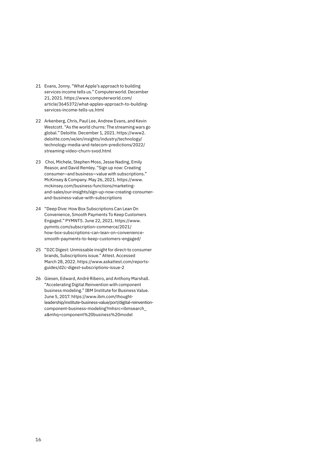- 21 Evans, Jonny. "What Apple's approach to building services income tells us." Computerworld. December 21, 2021. https://www.computerworld.com/ article/3645372/what-apples-approach-to-buildingservices-income-tells-us.html
- 22 Arkenberg, Chris, Paul Lee, Andrew Evans, and Kevin Westcott. "As the world churns: The streaming wars go global." Deloitte. December 1, 2021. https://www2. deloitte.com/xe/en/insights/industry/technology/ technology-media-and-telecom-predictions/2022/ streaming-video-churn-svod.html
- 23 Choi, Michele, Stephen Moss, Jesse Nading, Emily Reasor, and David Remley. "Sign up now: Creating consumer—and business—value with subscriptions." McKinsey & Company. May 26, 2021. https://www. mckinsey.com/business-functions/marketingand-sales/our-insights/sign-up-now-creating-consumerand-business-value-with-subscriptions
- 24 "Deep Dive: How Box Subscriptions Can Lean On Convenience, Smooth Payments To Keep Customers Engaged." PYMNTS. June 22, 2021. https://www. pymnts.com/subscription-commerce/2021/ how-box-subscriptions-can-lean-on-conveniencesmooth-payments-to-keep-customers-engaged/
- 25 "D2C Digest: Unmissable insight for direct-to consumer brands, Subscriptions issue." Attest. Accessed March 28, 2022. https://www.askattest.com/reportsguides/d2c-digest-subscriptions-issue-2
- 26 Giesen, Edward, André Ribeiro, and Anthony Marshall. "Accelerating Digital Reinvention with component business modeling." IBM Institute for Business Value. June 5, 2017. [https://www.ibm.com/thought](https://www.ibm.com/thought-leadership/institute-business-value/report/digital-reinvention-component-business-modeling?mhsrc=ibmsearch_a&mhq=component%20business%20model)[leadership/institute-business-value/port/digital-reinvention](https://www.ibm.com/thought-leadership/institute-business-value/report/digital-reinvention-component-business-modeling?mhsrc=ibmsearch_a&mhq=component%20business%20model)[component-business-modeling?mhsrc=ibmsearch\\_](https://www.ibm.com/thought-leadership/institute-business-value/report/digital-reinvention-component-business-modeling?mhsrc=ibmsearch_a&mhq=component%20business%20model) [a&mhq=component%20business%20model](https://www.ibm.com/thought-leadership/institute-business-value/report/digital-reinvention-component-business-modeling?mhsrc=ibmsearch_a&mhq=component%20business%20model)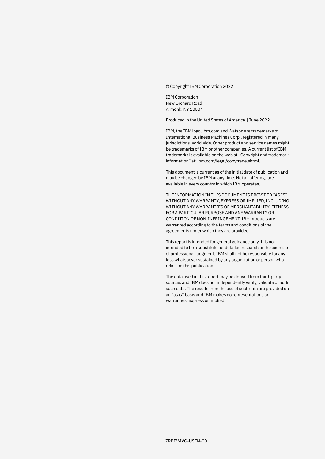© Copyright IBM Corporation 2022

IBM Corporation New Orchard Road Armonk, NY 10504

Produced in the United States of America | June 2022

IBM, the IBM logo, [ibm.com](http://ibm.com) and Watson are trademarks of International Business Machines Corp., registered in many jurisdictions worldwide. Other product and service names might be trademarks of IBM or other companies. A current list of IBM trademarks is available on the web at "Copyright and trademark information" at: [ibm.com/legal/copytrade.shtml.](http://ibm.com/legal/copytrade.shtml)

This document is current as of the initial date of publication and may be changed by IBM at any time. Not all offerings are available in every country in which IBM operates.

THE INFORMATION IN THIS DOCUMENT IS PROVIDED "AS IS" WITHOUT ANY WARRANTY, EXPRESS OR IMPLIED, INCLUDING WITHOUT ANY WARRANTIES OF MERCHANTABILITY, FITNESS FOR A PARTICULAR PURPOSE AND ANY WARRANTY OR CONDITION OF NON-INFRINGEMENT. IBM products are warranted according to the terms and conditions of the agreements under which they are provided.

This report is intended for general guidance only. It is not intended to be a substitute for detailed research or the exercise of professional judgment. IBM shall not be responsible for any loss whatsoever sustained by any organization or person who relies on this publication.

The data used in this report may be derived from third-party sources and IBM does not independently verify, validate or audit such data. The results from the use of such data are provided on an "as is" basis and IBM makes no representations or warranties, express or implied.